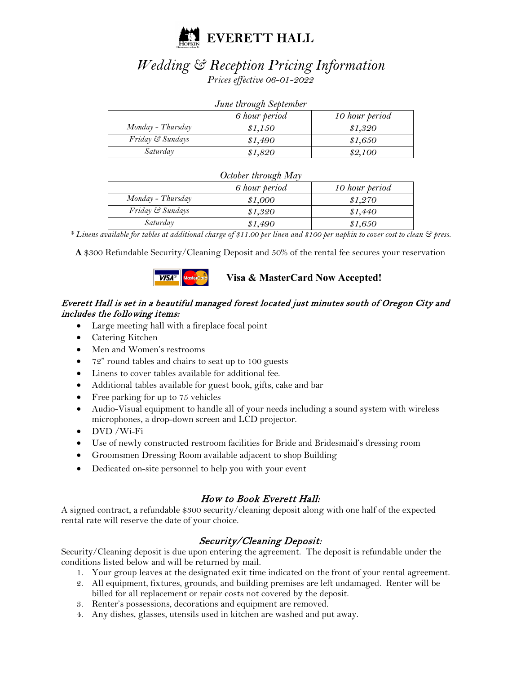

# *Wedding & Reception Pricing Information Prices effective 06-01-2022*

| June through September |               |                |
|------------------------|---------------|----------------|
|                        | 6 hour period | 10 hour period |
| Monday - Thursday      | \$1,150       | \$1,320        |
| Friday & Sundays       | \$1,490       | \$1,650        |
| Saturday               | \$1,820       | \$2,100        |

*June through September*

| October through May |               |                |
|---------------------|---------------|----------------|
|                     | 6 hour period | 10 hour period |
| Monday - Thursday   | \$1,000       | \$1,270        |
| Friday & Sundays    | \$1,320       | \$1,440        |
| Saturday            | \$1,490       | \$1,650        |

*\* Linens available for tables at additional charge of \$11.00 per linen and \$100 per napkin to cover cost to clean & press.*

**A** \$300 Refundable Security/Cleaning Deposit and 50% of the rental fee secures your reservation



# **Visa & MasterCard Now Accepted!**

# Everett Hall is set in a beautiful managed forest located just minutes south of Oregon City and includes the following items:

- Large meeting hall with a fireplace focal point
- Catering Kitchen
- Men and Women's restrooms
- 72" round tables and chairs to seat up to 100 guests
- Linens to cover tables available for additional fee.
- Additional tables available for guest book, gifts, cake and bar
- Free parking for up to 75 vehicles
- Audio-Visual equipment to handle all of your needs including a sound system with wireless microphones, a drop-down screen and LCD projector.
- DVD /Wi-Fi
- Use of newly constructed restroom facilities for Bride and Bridesmaid's dressing room
- Groomsmen Dressing Room available adjacent to shop Building
- Dedicated on-site personnel to help you with your event

# How to Book Everett Hall:

A signed contract, a refundable \$300 security/cleaning deposit along with one half of the expected rental rate will reserve the date of your choice.

# Security/Cleaning Deposit:

Security/Cleaning deposit is due upon entering the agreement. The deposit is refundable under the conditions listed below and will be returned by mail.

- 1. Your group leaves at the designated exit time indicated on the front of your rental agreement.
- 2. All equipment, fixtures, grounds, and building premises are left undamaged. Renter will be billed for all replacement or repair costs not covered by the deposit.
- 3. Renter's possessions, decorations and equipment are removed.
- 4. Any dishes, glasses, utensils used in kitchen are washed and put away.